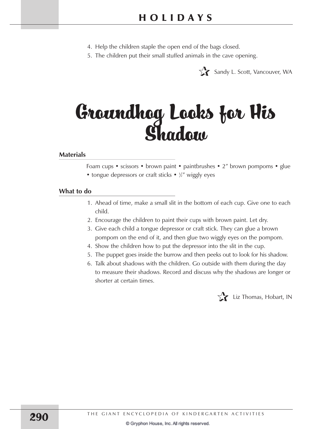- 4. Help the children staple the open end of the bags closed.
- 5. The children put their small stuffed animals in the cave opening.



# Groundhog Looks for His Shadow

## **Materials**

Foam cups • scissors • brown paint • paintbrushes • 2" brown pompoms • glue • tongue depressors or craft sticks • 1/2" wiggly eyes

#### **What to do**

- 1. Ahead of time, make a small slit in the bottom of each cup. Give one to each child.
- 2. Encourage the children to paint their cups with brown paint. Let dry.
- pompom on the end of it, and then glue two wiggly eyes on the pompom. 3. Give each child a tongue depressor or craft stick. They can glue a brown
- 4. Show the children how to put the depressor into the slit in the cup.
- 5. The puppet goes inside the burrow and then peeks out to look for his shadow.
- 6. Talk about shadows with the children. Go outside with them during the day to measure their shadows. Record and discuss why the shadows are longer or shorter at certain times.